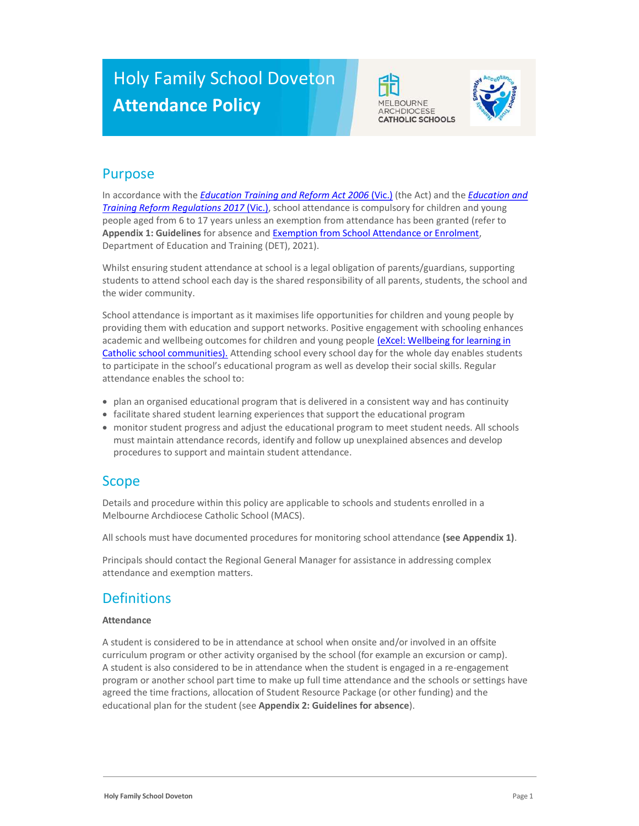# Holy Family School Doveton Attendance Policy





### Purpose

In accordance with the *Education Training and Reform Act 2006* (Vic.) (the Act) and the *Education and* Training Reform Regulations 2017 (Vic.), school attendance is compulsory for children and young people aged from 6 to 17 years unless an exemption from attendance has been granted (refer to Appendix 1: Guidelines for absence and Exemption from School Attendance or Enrolment, Department of Education and Training (DET), 2021).

Whilst ensuring student attendance at school is a legal obligation of parents/guardians, supporting students to attend school each day is the shared responsibility of all parents, students, the school and the wider community.

School attendance is important as it maximises life opportunities for children and young people by providing them with education and support networks. Positive engagement with schooling enhances academic and wellbeing outcomes for children and young people (eXcel: Wellbeing for learning in Catholic school communities). Attending school every school day for the whole day enables students to participate in the school's educational program as well as develop their social skills. Regular attendance enables the school to:

- plan an organised educational program that is delivered in a consistent way and has continuity
- facilitate shared student learning experiences that support the educational program
- monitor student progress and adjust the educational program to meet student needs. All schools must maintain attendance records, identify and follow up unexplained absences and develop procedures to support and maintain student attendance.

## Scope

Details and procedure within this policy are applicable to schools and students enrolled in a Melbourne Archdiocese Catholic School (MACS).

All schools must have documented procedures for monitoring school attendance (see Appendix 1).

Principals should contact the Regional General Manager for assistance in addressing complex attendance and exemption matters.

# **Definitions**

### Attendance

A student is considered to be in attendance at school when onsite and/or involved in an offsite curriculum program or other activity organised by the school (for example an excursion or camp). A student is also considered to be in attendance when the student is engaged in a re-engagement program or another school part time to make up full time attendance and the schools or settings have agreed the time fractions, allocation of Student Resource Package (or other funding) and the educational plan for the student (see Appendix 2: Guidelines for absence).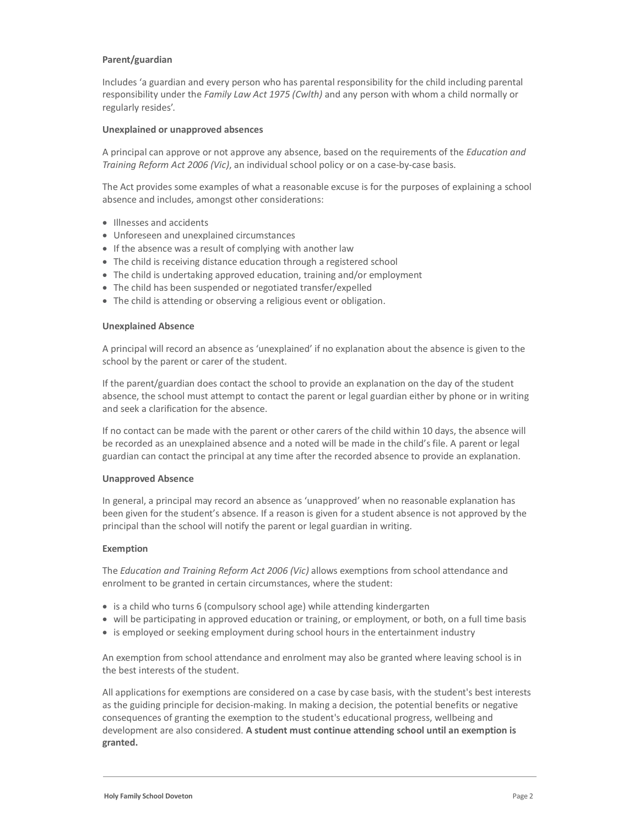#### Parent/guardian

Includes 'a guardian and every person who has parental responsibility for the child including parental responsibility under the Family Law Act 1975 (Cwlth) and any person with whom a child normally or regularly resides'.

#### Unexplained or unapproved absences

A principal can approve or not approve any absence, based on the requirements of the Education and Training Reform Act 2006 (Vic), an individual school policy or on a case-by-case basis.

The Act provides some examples of what a reasonable excuse is for the purposes of explaining a school absence and includes, amongst other considerations:

- Illnesses and accidents
- Unforeseen and unexplained circumstances
- If the absence was a result of complying with another law
- The child is receiving distance education through a registered school
- The child is undertaking approved education, training and/or employment
- The child has been suspended or negotiated transfer/expelled
- The child is attending or observing a religious event or obligation.

#### Unexplained Absence

A principal will record an absence as 'unexplained' if no explanation about the absence is given to the school by the parent or carer of the student.

If the parent/guardian does contact the school to provide an explanation on the day of the student absence, the school must attempt to contact the parent or legal guardian either by phone or in writing and seek a clarification for the absence.

If no contact can be made with the parent or other carers of the child within 10 days, the absence will be recorded as an unexplained absence and a noted will be made in the child's file. A parent or legal guardian can contact the principal at any time after the recorded absence to provide an explanation.

#### Unapproved Absence

In general, a principal may record an absence as 'unapproved' when no reasonable explanation has been given for the student's absence. If a reason is given for a student absence is not approved by the principal than the school will notify the parent or legal guardian in writing.

#### Exemption

The Education and Training Reform Act 2006 (Vic) allows exemptions from school attendance and enrolment to be granted in certain circumstances, where the student:

- is a child who turns 6 (compulsory school age) while attending kindergarten
- will be participating in approved education or training, or employment, or both, on a full time basis
- is employed or seeking employment during school hours in the entertainment industry

An exemption from school attendance and enrolment may also be granted where leaving school is in the best interests of the student.

All applications for exemptions are considered on a case by case basis, with the student's best interests as the guiding principle for decision-making. In making a decision, the potential benefits or negative consequences of granting the exemption to the student's educational progress, wellbeing and development are also considered. A student must continue attending school until an exemption is granted.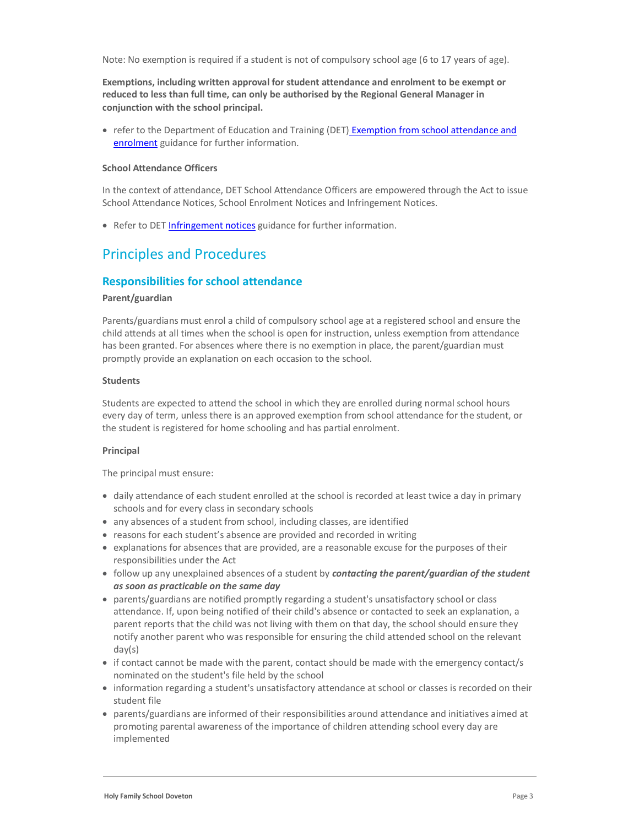Exemptions, including written approval for student attendance and enrolment to be exempt or reduced to less than full time, can only be authorised by the Regional General Manager in conjunction with the school principal.

• refer to the Department of Education and Training (DET) Exemption from school attendance and enrolment guidance for further information.

#### School Attendance Officers

In the context of attendance, DET School Attendance Officers are empowered through the Act to issue School Attendance Notices, School Enrolment Notices and Infringement Notices.

• Refer to DET Infringement notices guidance for further information.

### Principles and Procedures

### Responsibilities for school attendance

#### Parent/guardian

Parents/guardians must enrol a child of compulsory school age at a registered school and ensure the child attends at all times when the school is open for instruction, unless exemption from attendance has been granted. For absences where there is no exemption in place, the parent/guardian must promptly provide an explanation on each occasion to the school.

#### Students

Students are expected to attend the school in which they are enrolled during normal school hours every day of term, unless there is an approved exemption from school attendance for the student, or the student is registered for home schooling and has partial enrolment.

#### Principal

The principal must ensure:

- daily attendance of each student enrolled at the school is recorded at least twice a day in primary schools and for every class in secondary schools
- any absences of a student from school, including classes, are identified
- reasons for each student's absence are provided and recorded in writing
- explanations for absences that are provided, are a reasonable excuse for the purposes of their responsibilities under the Act
- follow up any unexplained absences of a student by contacting the parent/guardian of the student as soon as practicable on the same day
- parents/guardians are notified promptly regarding a student's unsatisfactory school or class attendance. If, upon being notified of their child's absence or contacted to seek an explanation, a parent reports that the child was not living with them on that day, the school should ensure they notify another parent who was responsible for ensuring the child attended school on the relevant day(s)
- if contact cannot be made with the parent, contact should be made with the emergency contact/s nominated on the student's file held by the school
- information regarding a student's unsatisfactory attendance at school or classes is recorded on their student file
- parents/guardians are informed of their responsibilities around attendance and initiatives aimed at promoting parental awareness of the importance of children attending school every day are implemented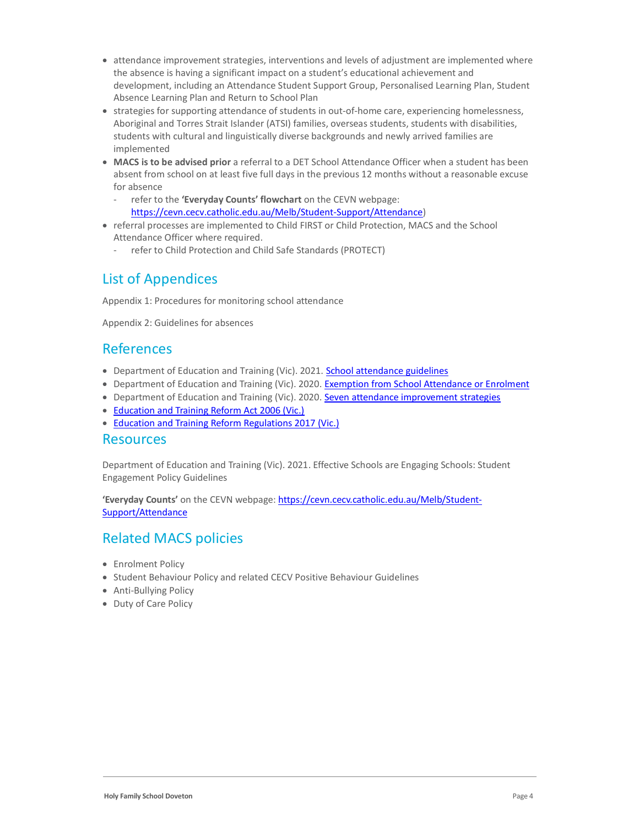- attendance improvement strategies, interventions and levels of adjustment are implemented where the absence is having a significant impact on a student's educational achievement and development, including an Attendance Student Support Group, Personalised Learning Plan, Student Absence Learning Plan and Return to School Plan
- strategies for supporting attendance of students in out-of-home care, experiencing homelessness, Aboriginal and Torres Strait Islander (ATSI) families, overseas students, students with disabilities, students with cultural and linguistically diverse backgrounds and newly arrived families are implemented
- MACS is to be advised prior a referral to a DET School Attendance Officer when a student has been absent from school on at least five full days in the previous 12 months without a reasonable excuse for absence
	- refer to the 'Everyday Counts' flowchart on the CEVN webpage: https://cevn.cecv.catholic.edu.au/Melb/Student-Support/Attendance)
- referral processes are implemented to Child FIRST or Child Protection, MACS and the School Attendance Officer where required.
	- refer to Child Protection and Child Safe Standards (PROTECT)

# List of Appendices

Appendix 1: Procedures for monitoring school attendance

Appendix 2: Guidelines for absences

### References

- Department of Education and Training (Vic). 2021. School attendance guidelines
- Department of Education and Training (Vic). 2020. Exemption from School Attendance or Enrolment
- Department of Education and Training (Vic). 2020. Seven attendance improvement strategies
- Education and Training Reform Act 2006 (Vic.)
- Education and Training Reform Regulations 2017 (Vic.)

### Resources

Department of Education and Training (Vic). 2021. Effective Schools are Engaging Schools: Student Engagement Policy Guidelines

'Everyday Counts' on the CEVN webpage: https://cevn.cecv.catholic.edu.au/Melb/Student-Support/Attendance

## Related MACS policies

- Enrolment Policy
- Student Behaviour Policy and related CECV Positive Behaviour Guidelines
- Anti-Bullying Policy
- Duty of Care Policy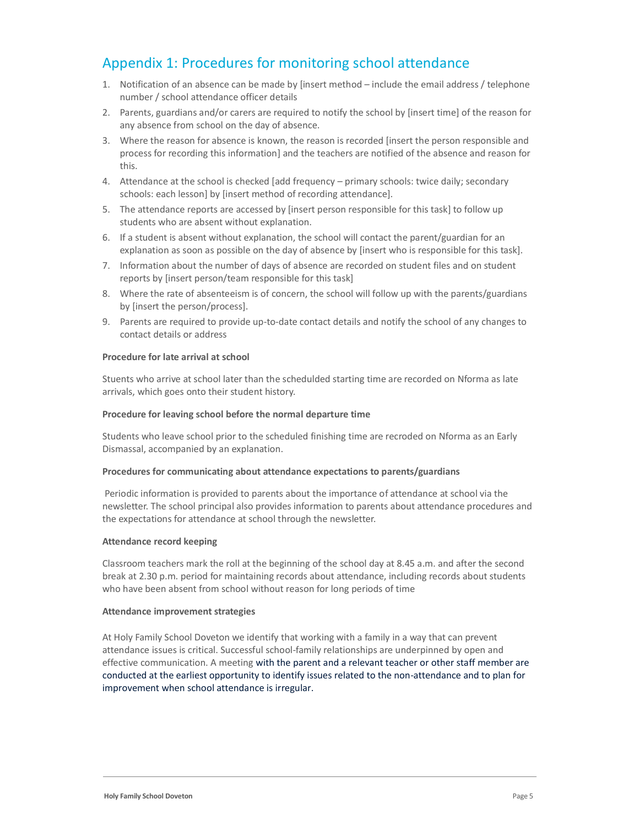## Appendix 1: Procedures for monitoring school attendance

- 1. Notification of an absence can be made by [insert method include the email address / telephone number / school attendance officer details
- 2. Parents, guardians and/or carers are required to notify the school by [insert time] of the reason for any absence from school on the day of absence.
- 3. Where the reason for absence is known, the reason is recorded [insert the person responsible and process for recording this information] and the teachers are notified of the absence and reason for this.
- 4. Attendance at the school is checked [add frequency primary schools: twice daily; secondary schools: each lesson] by [insert method of recording attendance].
- 5. The attendance reports are accessed by [insert person responsible for this task] to follow up students who are absent without explanation.
- 6. If a student is absent without explanation, the school will contact the parent/guardian for an explanation as soon as possible on the day of absence by [insert who is responsible for this task].
- 7. Information about the number of days of absence are recorded on student files and on student reports by [insert person/team responsible for this task]
- 8. Where the rate of absenteeism is of concern, the school will follow up with the parents/guardians by [insert the person/process].
- 9. Parents are required to provide up-to-date contact details and notify the school of any changes to contact details or address

#### Procedure for late arrival at school

Stuents who arrive at school later than the schedulded starting time are recorded on Nforma as late arrivals, which goes onto their student history.

#### Procedure for leaving school before the normal departure time

Students who leave school prior to the scheduled finishing time are recroded on Nforma as an Early Dismassal, accompanied by an explanation.

#### Procedures for communicating about attendance expectations to parents/guardians

 Periodic information is provided to parents about the importance of attendance at school via the newsletter. The school principal also provides information to parents about attendance procedures and the expectations for attendance at school through the newsletter.

#### Attendance record keeping

Classroom teachers mark the roll at the beginning of the school day at 8.45 a.m. and after the second break at 2.30 p.m. period for maintaining records about attendance, including records about students who have been absent from school without reason for long periods of time

#### Attendance improvement strategies

At Holy Family School Doveton we identify that working with a family in a way that can prevent attendance issues is critical. Successful school-family relationships are underpinned by open and effective communication. A meeting with the parent and a relevant teacher or other staff member are conducted at the earliest opportunity to identify issues related to the non-attendance and to plan for improvement when school attendance is irregular.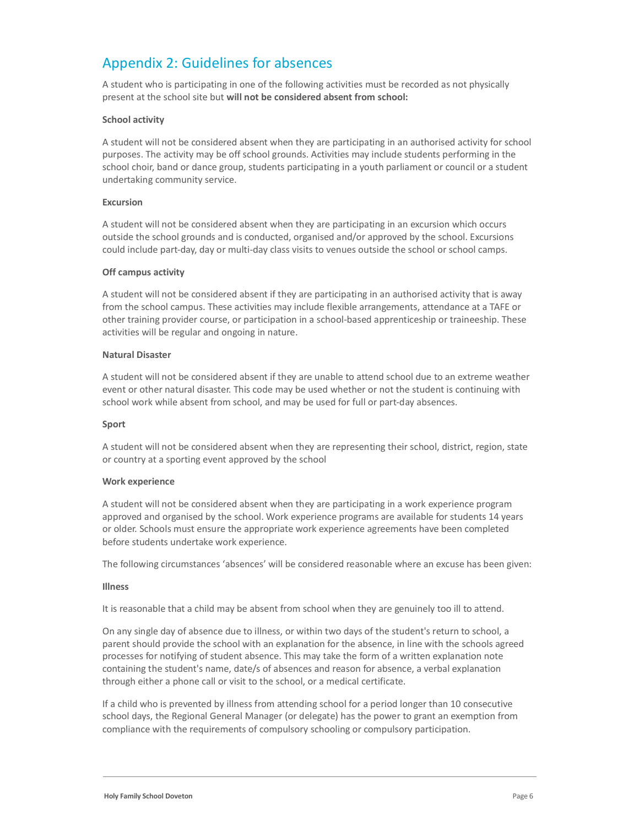## Appendix 2: Guidelines for absences

A student who is participating in one of the following activities must be recorded as not physically present at the school site but will not be considered absent from school:

#### School activity

A student will not be considered absent when they are participating in an authorised activity for school purposes. The activity may be off school grounds. Activities may include students performing in the school choir, band or dance group, students participating in a youth parliament or council or a student undertaking community service.

#### Excursion

A student will not be considered absent when they are participating in an excursion which occurs outside the school grounds and is conducted, organised and/or approved by the school. Excursions could include part-day, day or multi-day class visits to venues outside the school or school camps.

#### Off campus activity

A student will not be considered absent if they are participating in an authorised activity that is away from the school campus. These activities may include flexible arrangements, attendance at a TAFE or other training provider course, or participation in a school-based apprenticeship or traineeship. These activities will be regular and ongoing in nature.

#### Natural Disaster

A student will not be considered absent if they are unable to attend school due to an extreme weather event or other natural disaster. This code may be used whether or not the student is continuing with school work while absent from school, and may be used for full or part-day absences.

#### Sport

A student will not be considered absent when they are representing their school, district, region, state or country at a sporting event approved by the school

#### Work experience

A student will not be considered absent when they are participating in a work experience program approved and organised by the school. Work experience programs are available for students 14 years or older. Schools must ensure the appropriate work experience agreements have been completed before students undertake work experience.

The following circumstances 'absences' will be considered reasonable where an excuse has been given:

#### Illness

It is reasonable that a child may be absent from school when they are genuinely too ill to attend.

On any single day of absence due to illness, or within two days of the student's return to school, a parent should provide the school with an explanation for the absence, in line with the schools agreed processes for notifying of student absence. This may take the form of a written explanation note containing the student's name, date/s of absences and reason for absence, a verbal explanation through either a phone call or visit to the school, or a medical certificate.

If a child who is prevented by illness from attending school for a period longer than 10 consecutive school days, the Regional General Manager (or delegate) has the power to grant an exemption from compliance with the requirements of compulsory schooling or compulsory participation.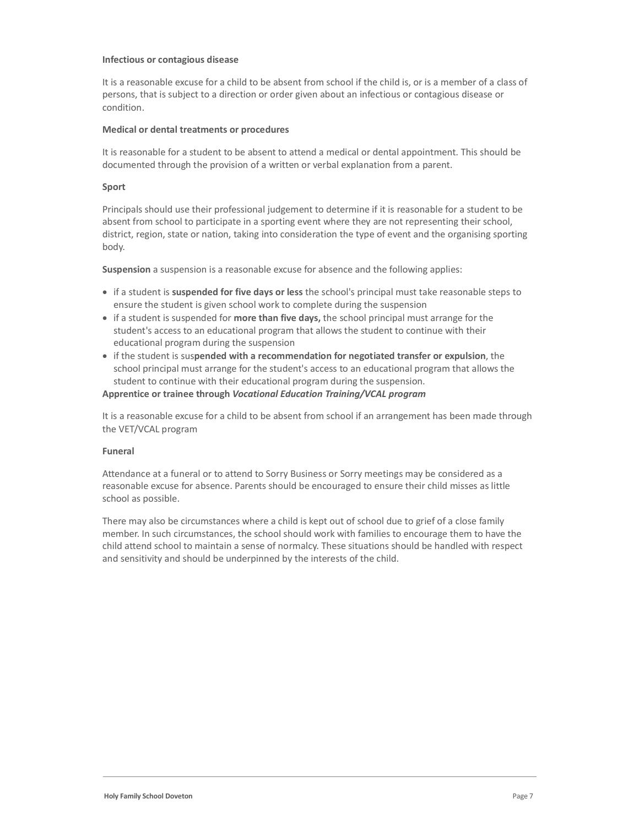#### Infectious or contagious disease

It is a reasonable excuse for a child to be absent from school if the child is, or is a member of a class of persons, that is subject to a direction or order given about an infectious or contagious disease or condition.

#### Medical or dental treatments or procedures

It is reasonable for a student to be absent to attend a medical or dental appointment. This should be documented through the provision of a written or verbal explanation from a parent.

#### Sport

Principals should use their professional judgement to determine if it is reasonable for a student to be absent from school to participate in a sporting event where they are not representing their school, district, region, state or nation, taking into consideration the type of event and the organising sporting body.

Suspension a suspension is a reasonable excuse for absence and the following applies:

- if a student is suspended for five days or less the school's principal must take reasonable steps to ensure the student is given school work to complete during the suspension
- if a student is suspended for more than five days, the school principal must arrange for the student's access to an educational program that allows the student to continue with their educational program during the suspension
- if the student is suspended with a recommendation for negotiated transfer or expulsion, the school principal must arrange for the student's access to an educational program that allows the student to continue with their educational program during the suspension.

#### Apprentice or trainee through Vocational Education Training/VCAL program

It is a reasonable excuse for a child to be absent from school if an arrangement has been made through the VET/VCAL program

#### Funeral

Attendance at a funeral or to attend to Sorry Business or Sorry meetings may be considered as a reasonable excuse for absence. Parents should be encouraged to ensure their child misses as little school as possible.

There may also be circumstances where a child is kept out of school due to grief of a close family member. In such circumstances, the school should work with families to encourage them to have the child attend school to maintain a sense of normalcy. These situations should be handled with respect and sensitivity and should be underpinned by the interests of the child.